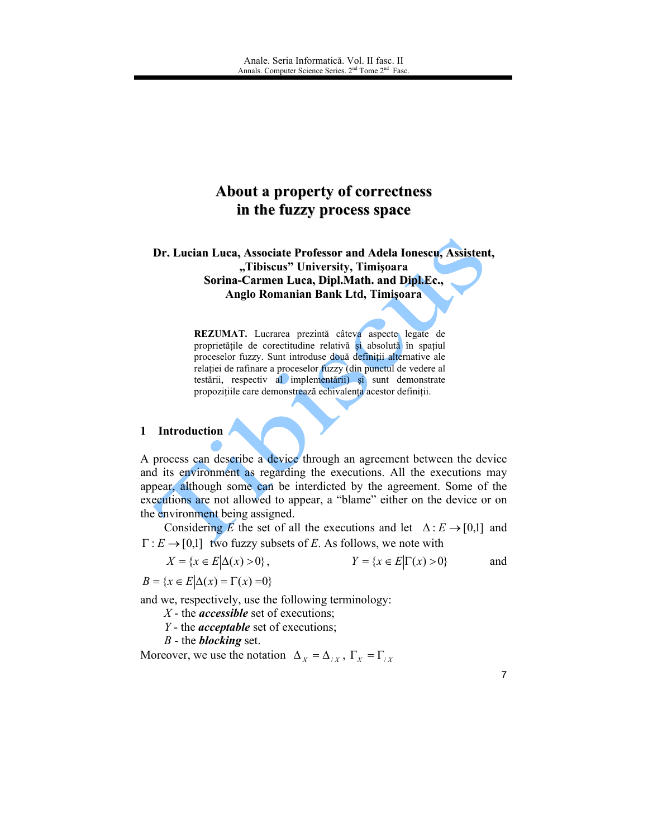# About a property of correctness in the fuzzy process space

Dr. Lucian Luca, Associate Professor and Adela Ionescu, Assistent, "Tibiscus" University, Timișoara Sorina-Carmen Luca, Dipl.Math. and Dipl.Ec., Anglo Romanian Bank Ltd, Timişoara

> REZUMAT. Lucrarea prezintă câteva aspecte legate de proprietățile de corectitudine relativă și absolută în spațiul proceselor fuzzy. Sunt introduse două definiții alternative ale relației de rafinare a proceselor fuzzy (din punctul de vedere al testării, respectiv al implementării) și sunt demonstrate propozițiile care demonstrează echivalența acestor definiții.

## 1 Introduction

A process can describe a device through an agreement between the device and its environment as regarding the executions. All the executions may appear, although some can be interdicted by the agreement. Some of the executions are not allowed to appear, a "blame" either on the device or on the environment being assigned.

Considering E the set of all the executions and let  $\Delta : E \rightarrow [0,1]$  and  $\Gamma: E \to [0,1]$  two fuzzy subsets of E. As follows, we note with

$$
X = \{x \in E | \Delta(x) > 0\}, \qquad \qquad Y = \{x \in E | \Gamma(x) > 0\} \qquad \text{and}
$$

 $B = \{x \in E | \Delta(x) = \Gamma(x) = 0\}$ 

and we, respectively, use the following terminology:

 $X$  - the *accessible* set of executions;

 $Y$  - the *acceptable* set of executions;

B - the **blocking** set.

Moreover, we use the notation  $\Delta_X = \Delta_{/X}$ ,  $\Gamma_X = \Gamma_{/X}$ 

 $\overline{7}$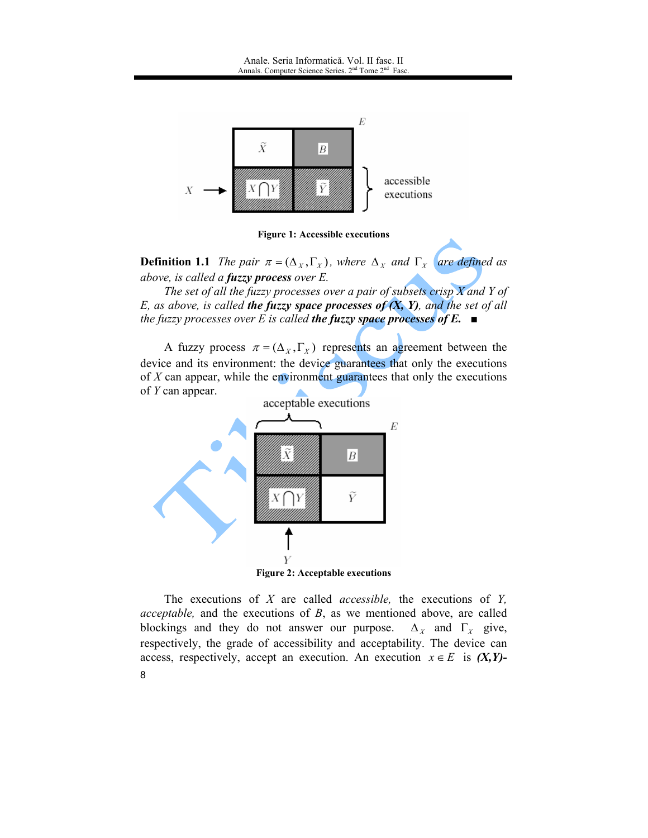



**Definition 1.1** The pair  $\pi = (\Delta_X, \Gamma_X)$ , where  $\Delta_X$  and  $\Gamma_X$  are defined as above, is called a fuzzy process over E.

The set of all the fuzzy processes over a pair of subsets crisp  $X$  and  $Y$  of E, as above, is called the fuzzy space processes of  $(X, Y)$ , and the set of all the fuzzy processes over E is called the fuzzy space processes of E.  $\blacksquare$ 

A fuzzy process  $\pi = (\Delta_X, \Gamma_X)$  represents an agreement between the device and its environment: the device guarantees that only the executions of  $X$  can appear, while the environment guarantees that only the executions of Y can appear.



The executions of  $X$  are called *accessible*, the executions of  $Y$ , *acceptable*, and the executions of  $B$ , as we mentioned above, are called blockings and they do not answer our purpose.  $\Delta_X$  and  $\Gamma_X$  give, respectively, the grade of accessibility and acceptability. The device can access, respectively, accept an execution. An execution  $x \in E$  is  $(X, Y)$ -8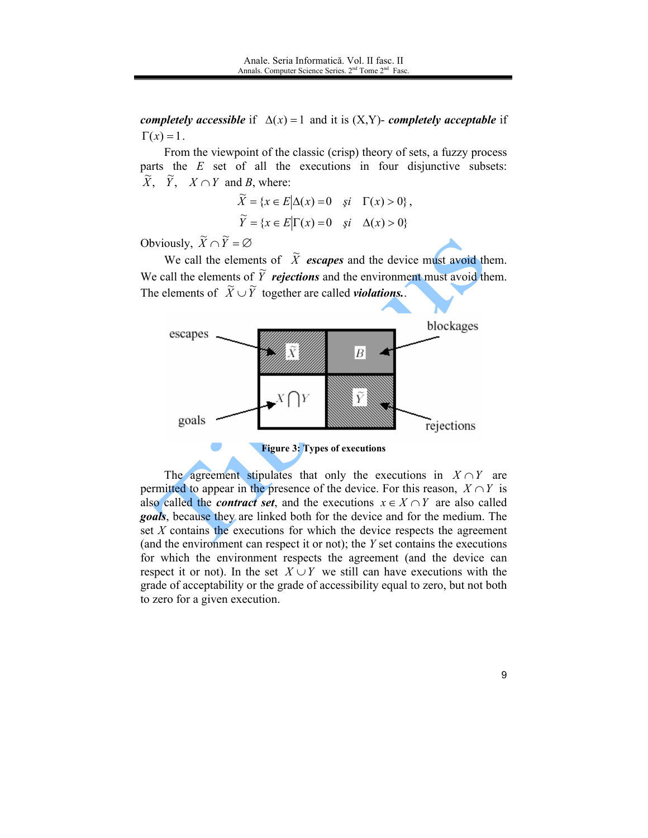*completely accessible* if  $\Delta(x) = 1$  and it is  $(X, Y)$ - *completely acceptable* if  $\Gamma(x) = 1$ .

From the viewpoint of the classic (crisp) theory of sets, a fuzzy process parts the  $E$  set of all the executions in four disjunctive subsets:  $\widetilde{X}$ ,  $\widetilde{Y}$ ,  $X \cap Y$  and B, where:

$$
\widetilde{X} = \{x \in E | \Delta(x) = 0 \quad \text{si} \quad \Gamma(x) > 0 \},
$$
  

$$
\widetilde{Y} = \{x \in E | \Gamma(x) = 0 \quad \text{si} \quad \Delta(x) > 0 \}
$$

Obviously,  $\widetilde{X} \cap \widetilde{Y} = \varnothing$ 

We call the elements of  $\tilde{X}$  escapes and the device must avoid them. We call the elements of  $\tilde{Y}$  rejections and the environment must avoid them. The elements of  $\widetilde{X} \cup \widetilde{Y}$  together are called *violations*.



The agreement stipulates that only the executions in  $X \cap Y$  are permitted to appear in the presence of the device. For this reason,  $X \cap Y$  is also called the *contract set*, and the executions  $x \in X \cap Y$  are also called *goals*, because they are linked both for the device and for the medium. The set X contains the executions for which the device respects the agreement (and the environment can respect it or not); the  $Y$  set contains the executions for which the environment respects the agreement (and the device can respect it or not). In the set  $X \cup Y$  we still can have executions with the grade of acceptability or the grade of accessibility equal to zero, but not both to zero for a given execution.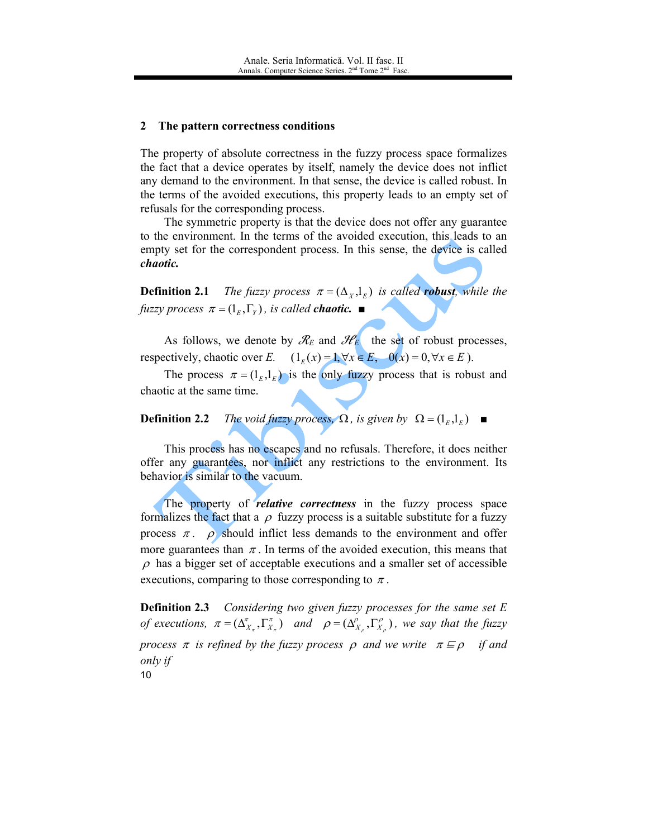#### $\mathbf{2}$ The pattern correctness conditions

The property of absolute correctness in the fuzzy process space formalizes the fact that a device operates by itself, namely the device does not inflict any demand to the environment. In that sense, the device is called robust. In the terms of the avoided executions, this property leads to an empty set of refusals for the corresponding process.

The symmetric property is that the device does not offer any guarantee to the environment. In the terms of the avoided execution, this leads to an empty set for the correspondent process. In this sense, the device is called chaotic.

The fuzzy process  $\pi = (\Delta_X, 1_E)$  is called **robust**, while the **Definition 2.1** fuzzy process  $\pi = (1_{F}, \Gamma_{Y})$ , is called **chaotic.** 

As follows, we denote by  $\mathcal{R}_E$  and  $\mathcal{H}_E$  the set of robust processes, respectively, chaotic over E.  $(1_E(x) = 1, \forall x \in E, 0(x) = 0, \forall x \in E)$ .

The process  $\pi = (1_E, 1_E)$  is the only fuzzy process that is robust and chaotic at the same time.

The void fuzzy process,  $\Omega$ , is given by  $\Omega = (l_{F}l_{F})$   $\blacksquare$ **Definition 2.2** 

This process has no escapes and no refusals. Therefore, it does neither offer any guarantees, nor inflict any restrictions to the environment. Its behavior is similar to the vacuum.

The property of *relative correctness* in the fuzzy process space formalizes the fact that a  $\rho$  fuzzy process is a suitable substitute for a fuzzy process  $\pi$ .  $\rho$  should inflict less demands to the environment and offer more guarantees than  $\pi$ . In terms of the avoided execution, this means that  $\rho$  has a bigger set of acceptable executions and a smaller set of accessible executions, comparing to those corresponding to  $\pi$ .

**Definition 2.3** Considering two given fuzzy processes for the same set  $E$ of executions,  $\pi = (\Delta_{X_{\tau}}^{\tau}, \Gamma_{X_{\tau}}^{\pi})$  and  $\rho = (\Delta_{X_{\tau}}^{\rho}, \Gamma_{X_{\tau}}^{\rho})$ , we say that the fuzzy process  $\pi$  is refined by the fuzzy process  $\rho$  and we write  $\pi \sqsubseteq \rho$  if and only if  $10$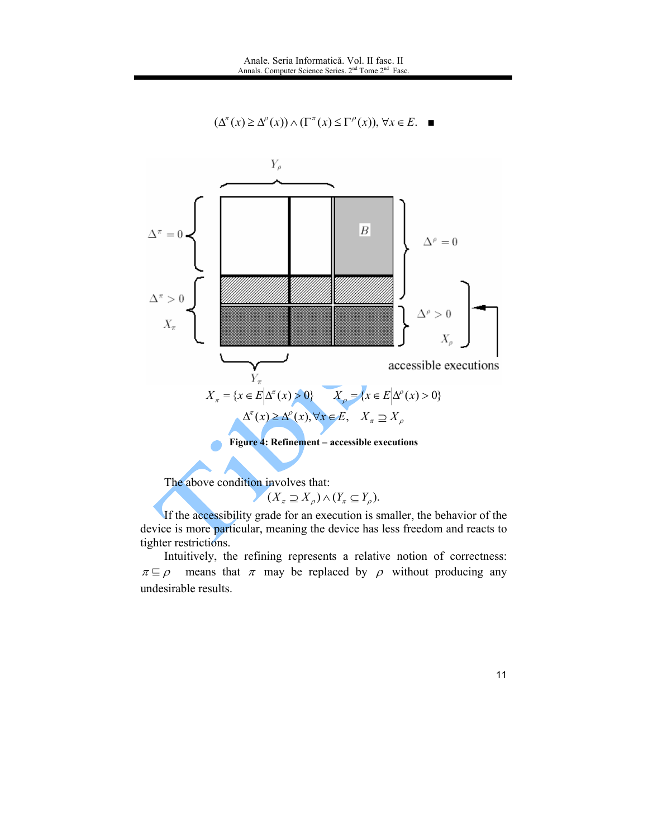$$
(\Delta^{\pi}(x) \ge \Delta^{\rho}(x)) \wedge (\Gamma^{\pi}(x) \le \Gamma^{\rho}(x)), \forall x \in E. \quad \blacksquare
$$



The above condition involves that:

 $(X_{\pi} \supseteq X_{\rho}) \wedge (Y_{\pi} \subseteq Y_{\rho}).$ 

If the accessibility grade for an execution is smaller, the behavior of the device is more particular, meaning the device has less freedom and reacts to tighter restrictions.

Intuitively, the refining represents a relative notion of correctness:  $\pi \sqsubseteq \rho$  means that  $\pi$  may be replaced by  $\rho$  without producing any undesirable results.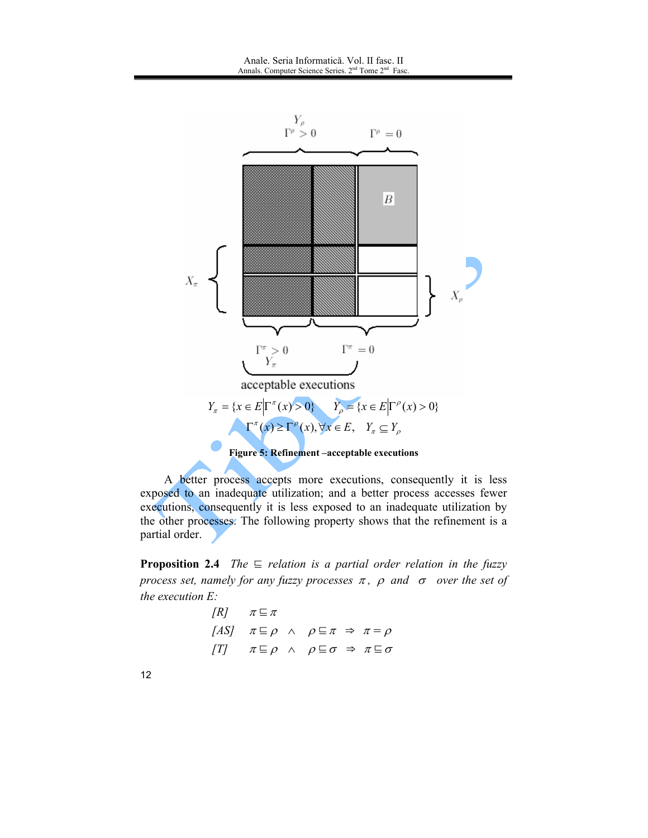

A better process accepts more executions, consequently it is less exposed to an inadequate utilization; and a better process accesses fewer executions, consequently it is less exposed to an inadequate utilization by the other processes. The following property shows that the refinement is a partial order.

**Proposition 2.4** The  $\equiv$  relation is a partial order relation in the fuzzy process set, namely for any fuzzy processes  $\pi$ ,  $\rho$  and  $\sigma$  over the set of the execution  $E$ :

> $IRI$  $\pi \sqsubseteq \pi$  $[AS]$   $\pi \sqsubseteq \rho \land \rho \sqsubseteq \pi \Rightarrow \pi = \rho$  $\begin{array}{ccc} \n\sqrt{T} & \pi \subseteq \rho & \wedge & \rho \subseteq \sigma \Rightarrow \pi \subseteq \sigma\n\end{array}$

 $12$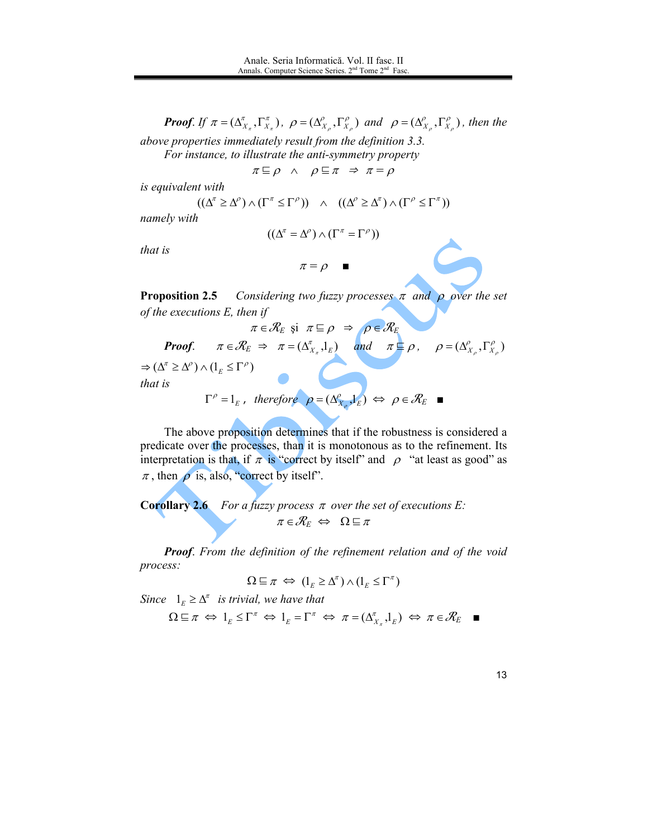**Proof.** If  $\pi = (\Delta_{X_{\pi}}^{\pi}, \Gamma_{X_{\pi}}^{\pi})$ ,  $\rho = (\Delta_{X_{\rho}}^{\rho}, \Gamma_{X_{\rho}}^{\rho})$  and  $\rho = (\Delta_{X_{\rho}}^{\rho}, \Gamma_{X_{\rho}}^{\rho})$ , then the

above properties immediately result from the definition 3.3. For instance, to illustrate the anti-symmetry property

 $\pi \sqsubseteq \rho \land \rho \sqsubseteq \pi \Rightarrow \pi = \rho$ 

is equivalent with

$$
((\Delta^{\pi} \geq \Delta^{\rho}) \wedge (\Gamma^{\pi} \leq \Gamma^{\rho})) \wedge ((\Delta^{\rho} \geq \Delta^{\pi}) \wedge (\Gamma^{\rho} \leq \Gamma^{\pi}))
$$

namely with

$$
((\Delta^{\pi} = \Delta^{\rho}) \wedge (\Gamma^{\pi} = \Gamma^{\rho}))
$$

that is

$$
\pi = \rho \quad \blacksquare
$$

**Proposition 2.5** Considering two fuzzy processes  $\pi$  and  $\rho$  over the set of the executions  $E$ , then if

$$
\pi \in \mathcal{K}_E \text{ s1 } \pi \subseteq \rho \Rightarrow \rho \in \mathcal{K}_E
$$
  
\n**Proof.**  $\pi \in \mathcal{R}_E \Rightarrow \pi = (\Delta_{X_x}^{\pi}, 1_E)$  and  $\pi \subseteq \rho$ ,  $\rho = (\Delta_{X_\rho}^{\rho}, \Gamma_{X_\rho}^{\rho})$   
\n $\Rightarrow (\Delta^{\pi} \ge \Delta^{\rho}) \wedge (1_E \le \Gamma^{\rho})$   
\nthat is  
\n $\Gamma^{\rho} = 1_E$ , therefore  $\rho = (\Delta_{X_\rho}^{\rho}, 1_E) \Leftrightarrow \rho \in \mathcal{R}_E$ 

The above proposition determines that if the robustness is considered a predicate over the processes, than it is monotonous as to the refinement. Its interpretation is that, if  $\pi$  is "correct by itself" and  $\rho$  "at least as good" as  $\pi$ , then  $\rho$  is, also, "correct by itself".

**Corollary 2.6** For a fuzzy process  $\pi$  over the set of executions E:  $\pi \in \mathcal{R}_E \Leftrightarrow \Omega \sqsubseteq \pi$ 

Proof. From the definition of the refinement relation and of the void process:

$$
\Omega \sqsubseteq \pi \iff (1_E \ge \Delta^{\pi}) \wedge (1_E \le \Gamma^{\pi})
$$

Since  $1_F \geq \Delta^{\pi}$  is trivial, we have that

$$
\Omega \sqsubseteq \pi \iff 1_E \leq \Gamma^{\pi} \iff 1_E = \Gamma^{\pi} \iff \pi = (\Delta_{X_{\pi}}^{\pi}, 1_E) \iff \pi \in \mathcal{R}_E \quad \blacksquare
$$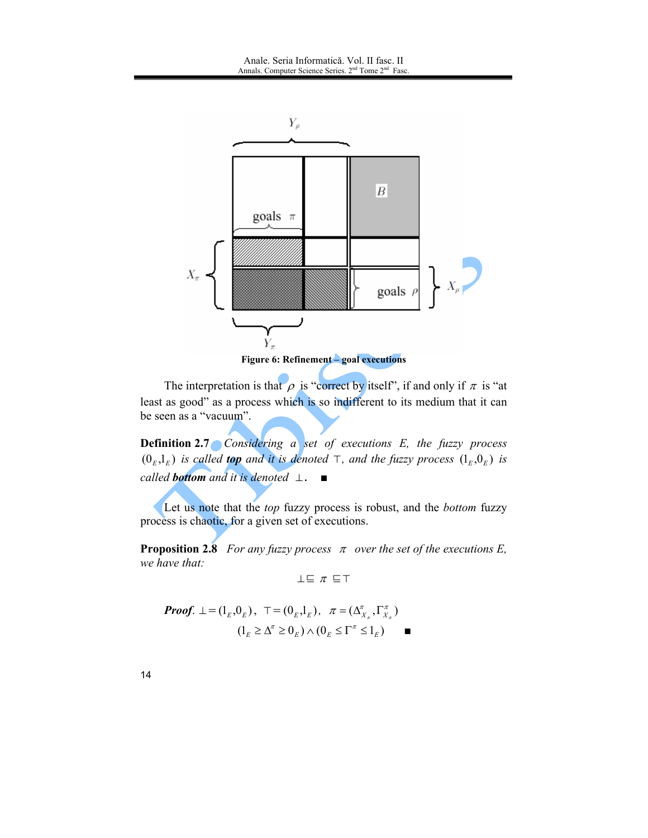

The interpretation is that  $\rho$  is "correct by itself", if and only if  $\pi$  is "at least as good" as a process which is so indifferent to its medium that it can be seen as a "vacuum".

**Definition 2.7** Considering a set of executions E, the fuzzy process  $(0<sub>E</sub>,1<sub>E</sub>)$  is called **top** and it is denoted  $\top$ , and the fuzzy process  $(1<sub>E</sub>,0<sub>E</sub>)$  is called **bottom** and it is denoted  $\perp$ .  $\blacksquare$ 

Let us note that the *top* fuzzy process is robust, and the *bottom* fuzzy process is chaotic, for a given set of executions.

**Proposition 2.8** For any fuzzy process  $\pi$  over the set of the executions E, we have that:

 $\perp \equiv \pi \equiv T$ 

*Proof.* 
$$
\bot = (1_E, 0_E), \ \ \top = (0_E, 1_E), \ \ \pi = (\Delta_{X_\pi}^\pi, \Gamma_{X_\pi}^\pi)
$$
  
 $(1_E \ge \Delta^\pi \ge 0_E) \wedge (0_E \le \Gamma^\pi \le 1_E)$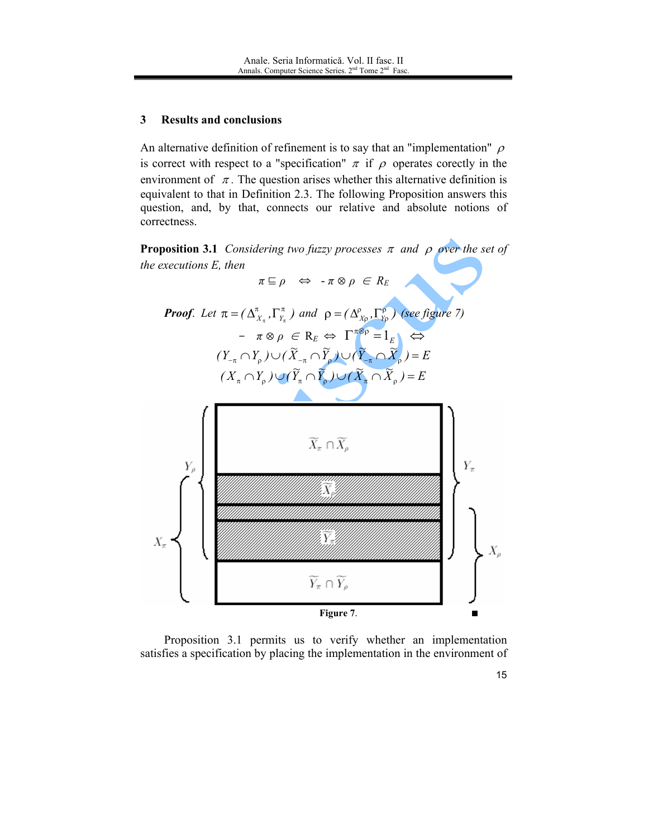#### 3 **Results and conclusions**

An alternative definition of refinement is to say that an "implementation"  $\rho$ is correct with respect to a "specification"  $\pi$  if  $\rho$  operates corectly in the environment of  $\pi$ . The question arises whether this alternative definition is equivalent to that in Definition 2.3. The following Proposition answers this question, and, by that, connects our relative and absolute notions of correctness.

**Proposition 3.1** Considering two fuzzy processes  $\pi$  and  $\rho$  over the set of the executions  $E$ , then

 $\pi \sqsubseteq \rho \ \ \, \Leftrightarrow \ \ \, \text{-} \pi \otimes \rho \ \, \in \, R_E$ 





Proposition 3.1 permits us to verify whether an implementation satisfies a specification by placing the implementation in the environment of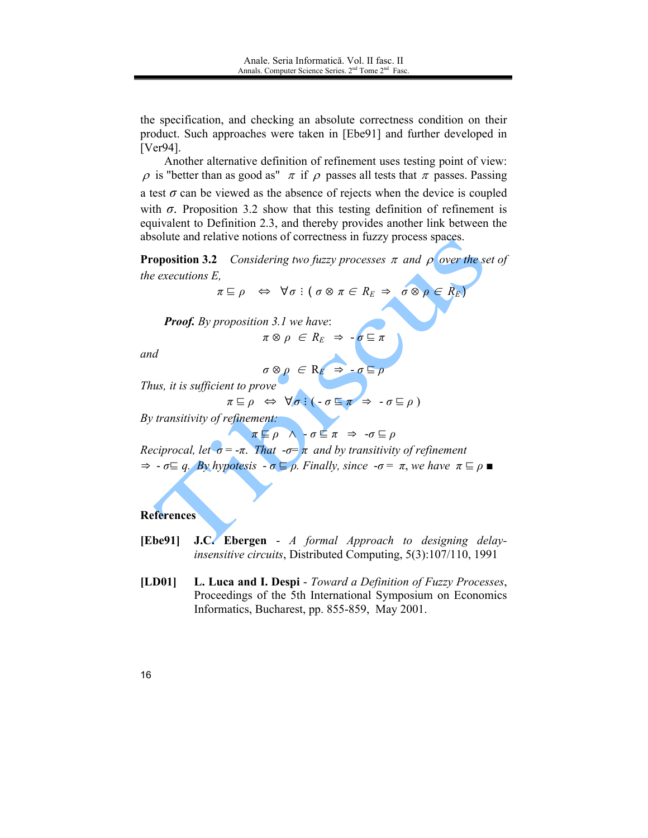the specification, and checking an absolute correctness condition on their product. Such approaches were taken in [Ebe91] and further developed in  $[Ver94]$ .

Another alternative definition of refinement uses testing point of view:  $\rho$  is "better than as good as"  $\pi$  if  $\rho$  passes all tests that  $\pi$  passes. Passing a test  $\sigma$  can be viewed as the absence of rejects when the device is coupled with  $\sigma$ . Proposition 3.2 show that this testing definition of refinement is equivalent to Definition 2.3, and thereby provides another link between the absolute and relative notions of correctness in fuzzy process spaces.

**Proposition 3.2** Considering two fuzzy processes  $\pi$  and  $\rho$  over the set of *the executions E,* 

 $\pi \sqsubseteq \rho \Leftrightarrow \forall \sigma : (\sigma \otimes \pi \in R_E \Rightarrow \sigma \otimes \rho \in R_E)$ 

**Proof.** By proposition 3.1 we have:  $\pi \otimes \rho \in R_E \Rightarrow -\sigma \sqsubseteq \pi$ 

and

$$
\sigma\otimes\rho\ \in\mathrm{R}_E\ \Rightarrow\ \sigma\sqsubseteq
$$

Thus, it is sufficient to prove

$$
\pi \sqsubseteq \rho \iff \forall \sigma : (\neg \sigma \sqsubseteq \pi \Rightarrow \neg \sigma \sqsubseteq \rho)
$$

By transitivity of refinement:

 $\pi \sqsubseteq \rho \land \neg \sigma \sqsubseteq \pi \Rightarrow \neg \sigma \sqsubseteq \rho$ 

Reciprocal, let  $\sigma = -\pi$ . That  $-\sigma = \pi$  and by transitivity of refinement

 $\Rightarrow -\sigma \equiv q$ . By hypotesis  $-\sigma \equiv \rho$ . Finally, since  $-\sigma = \pi$ , we have  $\pi \equiv \rho$ 

### References

- **J.C.** Ebergen A formal Approach to designing delay-[Ebe91] *insensitive circuits*, Distributed Computing, 5(3):107/110, 1991
- $[LD01]$ L. Luca and I. Despi - Toward a Definition of Fuzzy Processes, Proceedings of the 5th International Symposium on Economics Informatics, Bucharest, pp. 855-859, May 2001.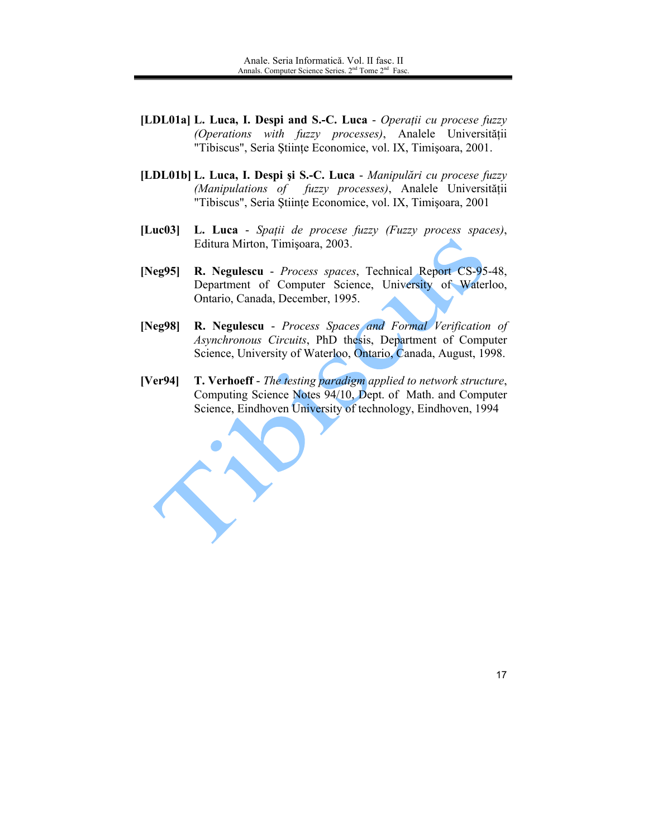- [LDL01a] L. Luca, I. Despi and S.-C. Luca Operatii cu procese fuzzy (Operations with fuzzy processes), Analele Universității "Tibiscus", Seria Științe Economice, vol. IX, Timișoara, 2001.
- [LDL01b] L. Luca, I. Despi și S.-C. Luca Manipulări cu procese fuzzy (Manipulations of fuzzy processes), Analele Universității "Tibiscus", Seria Științe Economice, vol. IX, Timișoara, 2001
- $[Luc03]$ L. Luca - Spații de procese fuzzy (Fuzzy process spaces), Editura Mirton, Timișoara, 2003.
- $[Neg95]$ R. Negulescu - Process spaces, Technical Report CS-95-48, Department of Computer Science, University of Waterloo, Ontario, Canada, December, 1995.
- R. Negulescu Process Spaces and Formal Verification of [Neg $98$ ] Asynchronous Circuits, PhD thesis, Department of Computer Science, University of Waterloo, Ontario, Canada, August, 1998.
- $[Ver94]$ T. Verhoeff - The testing paradigm applied to network structure, Computing Science Notes 94/10, Dept. of Math. and Computer Science, Eindhoven University of technology, Eindhoven, 1994